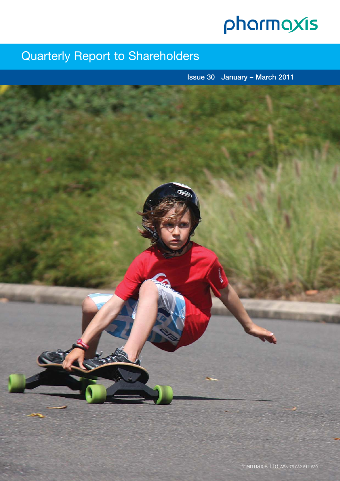# pharmaxis

## Quarterly Report to Shareholders

**Issue 30 January – March 2011**

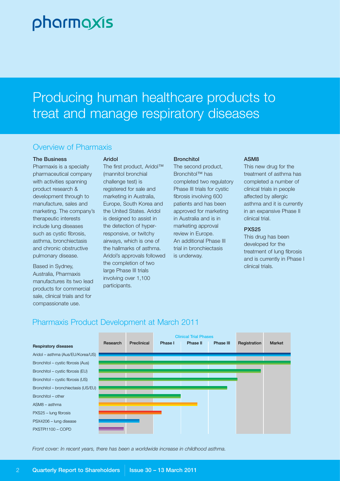# pharmaxis

# Producing human healthcare products to treat and manage respiratory diseases

## Overview of Pharmaxis

#### **The Business**

Pharmaxis is a specialty pharmaceutical company with activities spanning product research & development through to manufacture, sales and marketing. The company's therapeutic interests include lung diseases such as cystic fibrosis, asthma, bronchiectasis and chronic obstructive pulmonary disease.

Based in Sydney, Australia, Pharmaxis manufactures its two lead products for commercial sale, clinical trials and for compassionate use.

#### **Aridol**

The first product, Aridol™ (mannitol bronchial challenge test) is registered for sale and marketing in Australia, Europe, South Korea and the United States. Aridol is designed to assist in the detection of hyperresponsive, or twitchy airways, which is one of the hallmarks of asthma. Aridol's approvals followed the completion of two large Phase III trials involving over 1,100 participants.

#### **Bronchitol**

The second product, Bronchitol™ has completed two regulatory Phase III trials for cystic fibrosis involving 600 patients and has been approved for marketing in Australia and is in marketing approval review in Europe. An additional Phase III trial in bronchiectasis is underway.

#### **ASM8**

This new drug for the treatment of asthma has completed a number of clinical trials in people affected by allergic asthma and it is currently in an expansive Phase II clinical trial.

#### **PXS25**

This drug has been developed for the treatment of lung fibrosis and is currently in Phase I clinical trials.





*Front cover: In recent years, there has been a worldwide increase in childhood asthma.*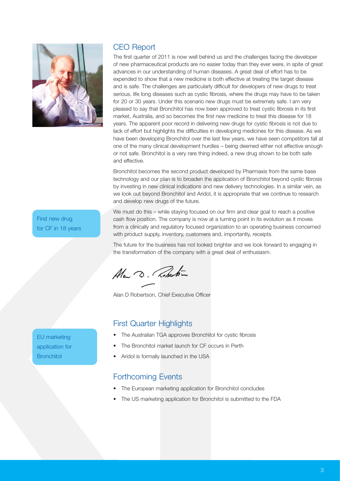

## CEO Report

The first quarter of 2011 is now well behind us and the challenges facing the developer of new pharmaceutical products are no easier today than they ever were, in spite of great advances in our understanding of human diseases. A great deal of effort has to be expended to show that a new medicine is both effective at treating the target disease and is safe. The challenges are particularly difficult for developers of new drugs to treat serious, life long diseases such as cystic fibrosis, where the drugs may have to be taken for 20 or 30 years. Under this scenario new drugs must be extremely safe. I am very pleased to say that Bronchitol has now been approved to treat cystic fibrosis in its first market, Australia, and so becomes the first new medicine to treat this disease for 18 years. The apparent poor record in delivering new drugs for cystic fibrosis is not due to lack of effort but highlights the difficulties in developing medicines for this disease. As we have been developing Bronchitol over the last few years, we have seen competitors fall at one of the many clinical development hurdles – being deemed either not effective enough or not safe. Bronchitol is a very rare thing indeed, a new drug shown to be both safe and effective.

Bronchitol becomes the second product developed by Pharmaxis from the same base technology and our plan is to broaden the application of Bronchitol beyond cystic fibrosis by investing in new clinical indications and new delivery technologies. In a similar vein, as we look out beyond Bronchitol and Aridol, it is appropriate that we continue to research and develop new drugs of the future.

We must do this – while staying focused on our firm and clear goal to reach a positive cash flow position. The company is now at a turning point in its evolution as it moves from a clinically and regulatory focused organization to an operating business concerned with product supply, inventory, customers and, importantly, receipts.

The future for the business has not looked brighter and we look forward to engaging in the transformation of the company with a great deal of enthusiasm.

Ala D. Roberton

Alan D Robertson, Chief Executive Officer

## First Quarter Highlights

- The Australian TGA approves Bronchitol for cystic fibrosis
- The Bronchitol market launch for CF occurs in Perth
- Aridol is formally launched in the USA

### Forthcoming Events

- The European marketing application for Bronchitol concludes
- The US marketing application for Bronchitol is submitted to the FDA

First new drug for CF in 18 years

EU marketing application for **Bronchitol**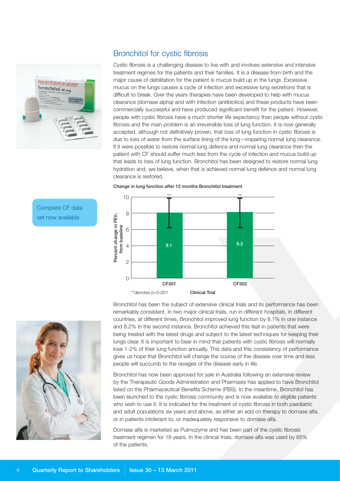

Complete CF data set now available

## Bronchitol for cystic fibrosis

Cystic fibrosis is a challenging disease to live with and involves extensive and intensive treatment regimes for the patients and their families. It is a disease from birth and the major cause of debilitation for the patient is mucus build up in the lungs. Excessive mucus on the lungs causes a cycle of infection and excessive lung secretions that is difficult to break. Over the years therapies have been developed to help with mucus clearance (dornase alpha) and with infection (antibiotics) and these products have been commercially successful and have produced significant benefit for the patient. However, people with cystic fibrosis have a much shorter life expectancy than people without cystic fibrosis and the main problem is an irreversible loss of lung function. It is now generally accepted, although not definitively proven, that loss of lung function in cystic fibrosis is due to loss of water from the surface lining of the lung—impairing normal lung clearance. If it were possible to restore normal lung defence and normal lung clearance then the patient with CF should suffer much less from the cycle of infection and mucus build up that leads to loss of lung function. Bronchitol has been designed to restore normal lung hydration and, we believe, when that is achieved normal lung defence and normal lung clearance is restored.



#### **Change in lung function after 12 months Bronchitol treatment**

ext now available<br> **Example 3**<br> **Example 3**<br> **Example 3**<br> **Example 3**<br> **Example 3**<br> **Example 3**<br> **Example 3**<br> **Example 3**<br> **Example 3**<br> **Example 3**<br> **Example 3**<br> **Example 3**<br> **Percent in Fevering function and 6.2% in the** 

Bronchitol has been the subject of extensive clinical trials and its performance has been remarkably consistent. In two major clinical trials, run in different hospitals, in different countries, at different times, Bronchitol improved lung function by 8.1% in one instance and 8.2% in the second instance. Bronchitol achieved this feat in patients that were being treated with the latest drugs and subject to the latest techniques for keeping their lungs clear. It is important to bear in mind that patients with cystic fibrosis will normally lose 1-2% of their lung function annually. This data and this consistency of performance gives us hope that Bronchitol will change the course of the disease over time and less people will succumb to the ravages of the disease early in life.

Bronchitol has now been approved for sale in Australia following an extensive review by the Therapeutic Goods Administration and Pharmaxis has applied to have Bronchitol listed on the Pharmaceutical Benefits Scheme (PBS). In the meantime, Bronchitol has been launched to the cystic fibrosis community and is now available to eligible patients who wish to use it. It is indicated for the treatment of cystic fibrosis in both paediatric and adult populations six years and above, as either an add on therapy to dornase alfa, or in patients intolerant to, or inadequately responsive to dornase alfa.

Dornase alfa is marketed as Pulmozyme and has been part of the cystic fibrosis treatment regimen for 18 years. In the clinical trials, dornase alfa was used by 65% of the patients.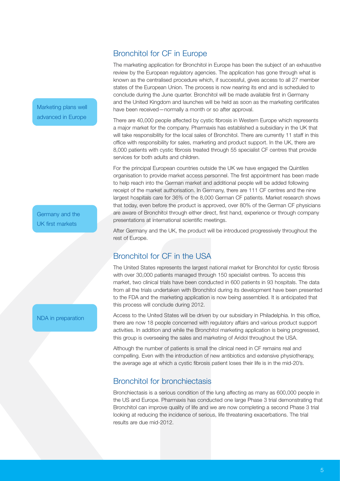## Bronchitol for CF in Europe

The marketing application for Bronchitol in Europe has been the subject of an exhaustive review by the European regulatory agencies. The application has gone through what is known as the centralised procedure which, if successful, gives access to all 27 member states of the European Union. The process is now nearing its end and is scheduled to conclude during the June quarter. Bronchitol will be made available first in Germany and the United Kingdom and launches will be held as soon as the marketing certificates have been received—normally a month or so after approval.

There are 40,000 people affected by cystic fibrosis in Western Europe which represents a major market for the company. Pharmaxis has established a subsidiary in the UK that will take responsibility for the local sales of Bronchitol. There are currently 11 staff in this office with responsibility for sales, marketing and product support. In the UK, there are 8,000 patients with cystic fibrosis treated through 55 specialist CF centres that provide services for both adults and children.

For the principal European countries outside the UK we have engaged the Quintiles organisation to provide market access personnel. The first appointment has been made to help reach into the German market and additional people will be added following receipt of the market authorisation. In Germany, there are 111 CF centres and the nine largest hospitals care for 36% of the 8,000 German CF patients. Market research shows that today, even before the product is approved, over 80% of the German CF physicians are aware of Bronchitol through either direct, first hand, experience or through company presentations at international scientific meetings.

After Germany and the UK, the product will be introduced progressively throughout the rest of Europe.

## Bronchitol for CF in the USA

The United States represents the largest national market for Bronchitol for cystic fibrosis with over 30,000 patients managed through 150 specialist centres. To access this market, two clinical trials have been conducted in 600 patients in 93 hospitals. The data from all the trials undertaken with Bronchitol during its development have been presented to the FDA and the marketing application is now being assembled. It is anticipated that this process will conclude during 2012.

Access to the United States will be driven by our subsidiary in Philadelphia. In this office, there are now 18 people concerned with regulatory affairs and various product support activities. In addition and while the Bronchitol marketing application is being progressed, this group is overseeing the sales and marketing of Aridol throughout the USA.

Although the number of patients is small the clinical need in CF remains real and compelling. Even with the introduction of new antibiotics and extensive physiotherapy, the average age at which a cystic fibrosis patient loses their life is in the mid-20's.

## Bronchitol for bronchiectasis

Bronchiectasis is a serious condition of the lung affecting as many as 600,000 people in the US and Europe. Pharmaxis has conducted one large Phase 3 trial demonstrating that Bronchitol can improve quality of life and we are now completing a second Phase 3 trial looking at reducing the incidence of serious, life threatening exacerbations. The trial results are due mid-2012.

Marketing plans well advanced in Europe

Germany and the UK first markets

NDA in preparation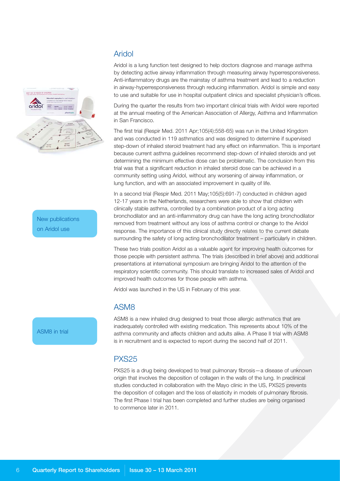

New publications on Aridol use

ASM8 in trial

## Aridol

Aridol is a lung function test designed to help doctors diagnose and manage asthma by detecting active airway inflammation through measuring airway hyperresponsiveness. Anti-inflammatory drugs are the mainstay of asthma treatment and lead to a reduction in airway-hyperresponsiveness through reducing inflammation. Aridol is simple and easy to use and suitable for use in hospital outpatient clinics and specialist physician's offices.

During the quarter the results from two important clinical trials with Aridol were reported at the annual meeting of the American Association of Allergy, Asthma and Inflammation in San Francisco.

The first trial (Respir Med. 2011 Apr;105(4):558-65) was run in the United Kingdom and was conducted in 119 asthmatics and was designed to determine if supervised step-down of inhaled steroid treatment had any effect on inflammation. This is important because current asthma guidelines recommend step-down of inhaled steroids and yet determining the minimum effective dose can be problematic. The conclusion from this trial was that a significant reduction in inhaled steroid dose can be achieved in a community setting using Aridol, without any worsening of airway inflammation, or lung function, and with an associated improvement in quality of life.

In a second trial (Respir Med. 2011 May;105(5):691-7) conducted in children aged 12-17 years in the Netherlands, researchers were able to show that children with clinically stable asthma, controlled by a combination product of a long acting bronchodilator and an anti-inflammatory drug can have the long acting bronchodilator removed from treatment without any loss of asthma control or change to the Aridol response. The importance of this clinical study directly relates to the current debate surrounding the safety of long acting bronchodilator treatment – particularly in children.

These two trials position Aridol as a valuable agent for improving health outcomes for those people with persistent asthma. The trials (described in brief above) and additional presentations at international symposium are bringing Aridol to the attention of the respiratory scientific community. This should translate to increased sales of Aridol and improved health outcomes for those people with asthma.

Aridol was launched in the US in February of this year.

### ASM8

ASM8 is a new inhaled drug designed to treat those allergic asthmatics that are inadequately controlled with existing medication. This represents about 10% of the asthma community and affects children and adults alike. A Phase II trial with ASM8 is in recruitment and is expected to report during the second half of 2011.

## PXS25

PXS25 is a drug being developed to treat pulmonary fibrosis—a disease of unknown origin that involves the deposition of collagen in the walls of the lung. In preclinical studies conducted in collaboration with the Mayo clinic in the US, PXS25 prevents the deposition of collagen and the loss of elasticity in models of pulmonary fibrosis. The first Phase I trial has been completed and further studies are being organised to commence later in 2011.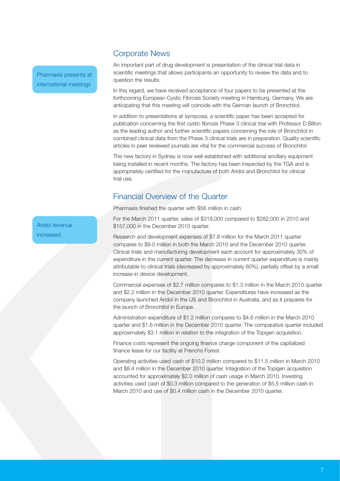#### Corporate News

Pharmaxis presents at international meetings

An important part of drug development is presentation of the clinical trial data in scientific meetings that allows participants an opportunity to review the data and to question the results.

In this regard, we have received acceptance of four papers to be presented at the forthcoming European Cystic Fibrosis Society meeting in Hamburg, Germany. We are anticipating that this meeting will coincide with the German launch of Bronchitol.

In addition to presentations at symposia, a scientific paper has been accepted for publication concerning the first cystic fibrosis Phase 3 clinical trial with Professor D Bilton as the leading author and further scientific papers concerning the role of Bronchitol in combined clinical data from the Phase 3 clinical trials are in preparation. Quality scientific articles in peer reviewed journals are vital for the commercial success of Bronchitol.

The new factory in Sydney is now well established with additional ancillary equipment being installed in recent months. The factory has been inspected by the TGA and is appropriately certified for the manufacture of both Aridol and Bronchitol for clinical trial use.

## Financial Overview of the Quarter

Pharmaxis finished the quarter with \$56 million in cash.

For the March 2011 quarter, sales of \$318,000 compared to \$282,000 in 2010 and \$157,000 in the December 2010 quarter.

Research and development expenses of \$7.8 million for the March 2011 quarter compares to \$9.0 million in both the March 2010 and the December 2010 quarter. Clinical trials and manufacturing development each account for approximately 30% of expenditure in the current quarter. The decrease in current quarter expenditure is mainly attributable to clinical trials (decreased by approximately 60%), partially offset by a small increase in device development.

Commercial expenses of \$2.7 million compares to \$1.3 million in the March 2010 quarter and \$2.2 million in the December 2010 quarter. Expenditures have increased as the company launched Aridol in the US and Bronchitol in Australia, and as it prepares for the launch of Bronchitol in Europe.

Administration expenditure of \$1.2 million compares to \$4.6 million in the March 2010 quarter and \$1.6 million in the December 2010 quarter. The comparative quarter included approximately \$3.1 million in relation to the integration of the Topigen acquisition.

Finance costs represent the ongoing finance charge component of the capitalized finance lease for our facility at Frenchs Forest.

Operating activities used cash of \$10.2 million compared to \$11.5 million in March 2010 and \$8.4 million in the December 2010 quarter. Integration of the Topigen acquisition accounted for approximately \$2.0 million of cash usage in March 2010. Investing activities used cash of \$0.3 million compared to the generation of \$5.5 million cash in March 2010 and use of \$0.4 million cash in the December 2010 quarter.

Aridol revenue increased